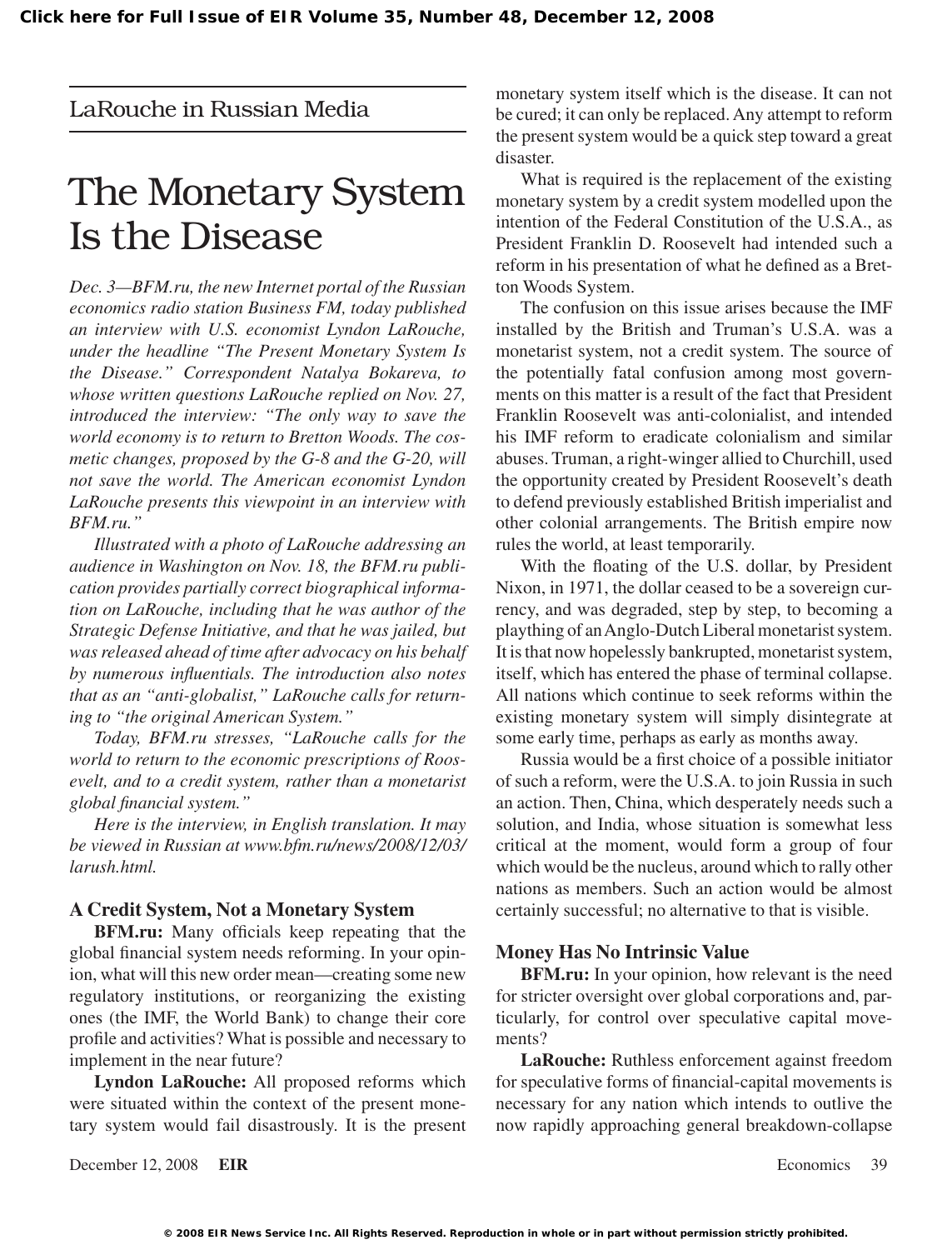LaRouche in Russian Media

## The Monetary System Is the Disease

*Dec. 3—BFM.ru, the new Internet portal of the Russian economics radio station Business FM, today published an interview with U.S. economist Lyndon LaRouche, under the headline "The Present Monetary System Is the Disease." Correspondent Natalya Bokareva, to whose written questions LaRouche replied on Nov. 27, introduced the interview: "The only way to save the world economy is to return to Bretton Woods. The cosmetic changes, proposed by the G-8 and the G-20, will not save the world. The American economist Lyndon LaRouche presents this viewpoint in an interview with BFM.ru."*

*Illustrated with a photo of LaRouche addressing an audience in Washington on Nov. 18, the BFM.ru publication provides partially correct biographical information on LaRouche, including that he was author of the Strategic Defense Initiative, and that he was jailed, but was released ahead of time after advocacy on his behalf by numerous influentials. The introduction also notes that as an "anti-globalist," LaRouche calls for returning to "the original American System."*

*Today, BFM.ru stresses, "LaRouche calls for the world to return to the economic prescriptions of Roosevelt, and to a credit system, rather than a monetarist global financial system."*

*Here is the interview, in English translation. It may be viewed in Russian at www.bfm.ru/news/2008/12/03/ larush.html.*

## **A Credit System, Not a Monetary System**

**BFM.ru:** Many officials keep repeating that the global financial system needs reforming. In your opinion, what will this new order mean—creating some new regulatory institutions, or reorganizing the existing ones (the IMF, the World Bank) to change their core profile and activities? What is possible and necessary to implement in the near future?

**Lyndon LaRouche:** All proposed reforms which were situated within the context of the present monetary system would fail disastrously. It is the present

December 12, 2008 **EIR** Economics 39

monetary system itself which is the disease. It can not be cured; it can only be replaced.Any attempt to reform the present system would be a quick step toward a great disaster.

What is required is the replacement of the existing monetary system by a credit system modelled upon the intention of the Federal Constitution of the U.S.A., as President Franklin D. Roosevelt had intended such a reform in his presentation of what he defined as a Bretton Woods System.

The confusion on this issue arises because the IMF installed by the British and Truman's U.S.A. was a monetarist system, not a credit system. The source of the potentially fatal confusion among most governments on this matter is a result of the fact that President Franklin Roosevelt was anti-colonialist, and intended his IMF reform to eradicate colonialism and similar abuses. Truman, a right-winger allied to Churchill, used the opportunity created by President Roosevelt's death to defend previously established British imperialist and other colonial arrangements. The British empire now rules the world, at least temporarily.

With the floating of the U.S. dollar, by President Nixon, in 1971, the dollar ceased to be a sovereign currency, and was degraded, step by step, to becoming a plaything of an Anglo-Dutch Liberal monetarist system. It is that now hopelessly bankrupted, monetarist system, itself, which has entered the phase of terminal collapse. All nations which continue to seek reforms within the existing monetary system will simply disintegrate at some early time, perhaps as early as months away.

Russia would be a first choice of a possible initiator of such a reform, were the U.S.A. to join Russia in such an action. Then, China, which desperately needs such a solution, and India, whose situation is somewhat less critical at the moment, would form a group of four which would be the nucleus, around which to rally other nations as members. Such an action would be almost certainly successful; no alternative to that is visible.

## **Money Has No Intrinsic Value**

**BFM.ru:** In your opinion, how relevant is the need for stricter oversight over global corporations and, particularly, for control over speculative capital movements?

**LaRouche:** Ruthless enforcement against freedom for speculative forms of financial-capital movements is necessary for any nation which intends to outlive the now rapidly approaching general breakdown-collapse